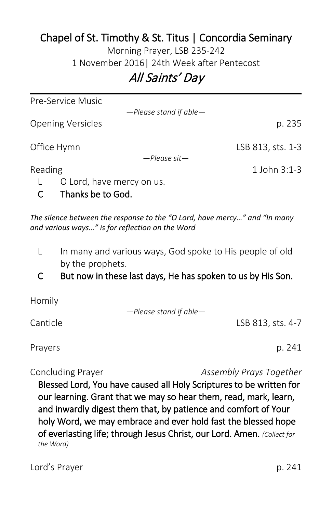### Chapel of St. Timothy & St. Titus | Concordia Seminary

Morning Prayer, LSB 235-242

1 November 2016| 24th Week after Pentecost

## All Saints' Day

Pre-Service Music *—Please stand if able—* Opening Versicles and the contract of the contract of the p. 235 Office Hymn LSB 813, sts. 1-3 *—Please sit—* Reading 1 John 3:1-3 L O Lord, have mercy on us. C Thanks be to God.

*The silence between the response to the "O Lord, have mercy…" and "In many and various ways…" is for reflection on the Word*

- L In many and various ways, God spoke to His people of old by the prophets.
- C But now in these last days, He has spoken to us by His Son.

Homily

*—Please stand if able—*

Canticle LSB 813, sts. 4-7

Prayers **p. 241** 

Concluding Prayer *Assembly Prays Together*

Blessed Lord, You have caused all Holy Scriptures to be written for our learning. Grant that we may so hear them, read, mark, learn, and inwardly digest them that, by patience and comfort of Your holy Word, we may embrace and ever hold fast the blessed hope of everlasting life; through Jesus Christ, our Lord. Amen. *(Collect for the Word)*

Lord's Prayer p. 241